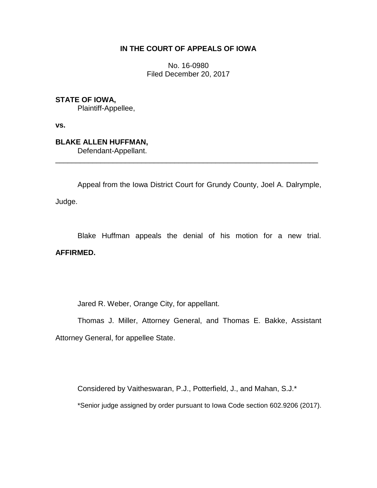## **IN THE COURT OF APPEALS OF IOWA**

No. 16-0980 Filed December 20, 2017

**STATE OF IOWA,**

Plaintiff-Appellee,

**vs.**

**BLAKE ALLEN HUFFMAN,** Defendant-Appellant.

Appeal from the Iowa District Court for Grundy County, Joel A. Dalrymple,

\_\_\_\_\_\_\_\_\_\_\_\_\_\_\_\_\_\_\_\_\_\_\_\_\_\_\_\_\_\_\_\_\_\_\_\_\_\_\_\_\_\_\_\_\_\_\_\_\_\_\_\_\_\_\_\_\_\_\_\_\_\_\_\_

Judge.

Blake Huffman appeals the denial of his motion for a new trial. **AFFIRMED.**

Jared R. Weber, Orange City, for appellant.

Thomas J. Miller, Attorney General, and Thomas E. Bakke, Assistant Attorney General, for appellee State.

Considered by Vaitheswaran, P.J., Potterfield, J., and Mahan, S.J.\*

\*Senior judge assigned by order pursuant to Iowa Code section 602.9206 (2017).